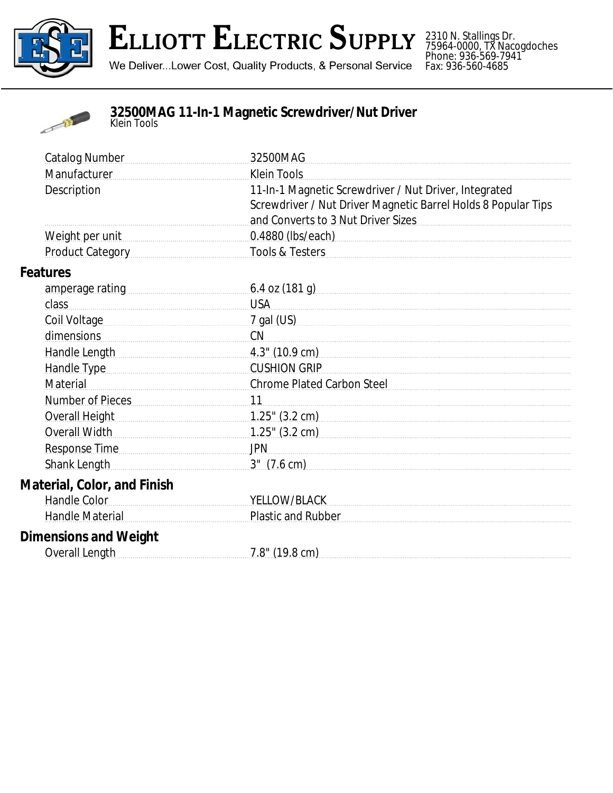

## **ELLIOTT ELECTRIC SUPPLY**

We Deliver...Lower Cost, Quality Products, & Personal Service

2310 N. Stallings Dr. 75964-0000, TX Nacogdoches Phone: 936-569-7941 Fax: 936-560-4685



**32500MAG 11-In-1 Magnetic Screwdriver/Nut Driver** *Klein Tools*

| <b>Catalog Number</b>              | 32500MAG                                                                                                                                                                                                                       |
|------------------------------------|--------------------------------------------------------------------------------------------------------------------------------------------------------------------------------------------------------------------------------|
| Manufacturer                       | <b>Klein Tools</b>                                                                                                                                                                                                             |
| Description                        | 11-In-1 Magnetic Screwdriver / Nut Driver, Integrated<br>Screwdriver / Nut Driver Magnetic Barrel Holds 8 Popular Tips<br>and Converts to 3 Nut Driver Sizes                                                                   |
| Weight per unit                    | 0.4880 (lbs/each) example and a substitution of the state of the state of the state of the state of the state of the state of the state of the state of the state of the state of the state of the state of the state of the s |
| Product Category [19]              | Tools & Testers                                                                                                                                                                                                                |
| <b>Features</b>                    |                                                                                                                                                                                                                                |
| amperage rating                    | 6.4 oz $(181 g)$                                                                                                                                                                                                               |
| class                              | <b>USA</b>                                                                                                                                                                                                                     |
| Coil Voltage                       | 7 gal (US)                                                                                                                                                                                                                     |
| dimensions                         | CN                                                                                                                                                                                                                             |
| Handle Length                      | $4.3$ " (10.9 cm)                                                                                                                                                                                                              |
| Handle Type                        | <b>CUSHION GRIP</b>                                                                                                                                                                                                            |
| Material                           | Chrome Plated Carbon Steel                                                                                                                                                                                                     |
| Number of Pieces                   | 11                                                                                                                                                                                                                             |
| <b>Overall Height</b>              |                                                                                                                                                                                                                                |
| <b>Overall Width</b>               | $1.25$ " (3.2 cm)                                                                                                                                                                                                              |
| <b>Response Time</b>               | <b>JPN</b>                                                                                                                                                                                                                     |
| Shank Length                       | $3''$ $(7.6 \text{ cm})$                                                                                                                                                                                                       |
| <b>Material, Color, and Finish</b> |                                                                                                                                                                                                                                |
| <b>Handle Color</b>                | YELLOW/BLACK                                                                                                                                                                                                                   |
| Handle Material                    | <b>Plastic and Rubber</b>                                                                                                                                                                                                      |
| <b>Dimensions and Weight</b>       |                                                                                                                                                                                                                                |
| Overall Length                     | $7.8$ " (19.8 cm)                                                                                                                                                                                                              |